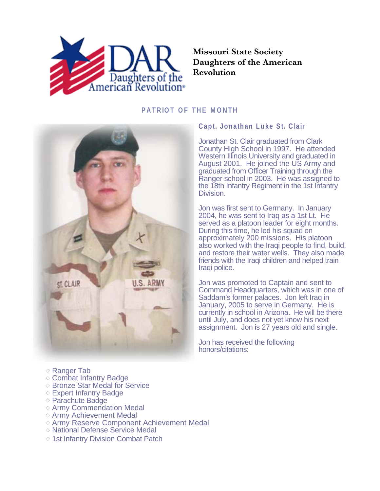

## **Missouri State Society Daughters of the American Revolution**

## **PATRIOT OF THE MONTH**



## **Capt. Jonathan Luke St. Clair**

Jonathan St. Clair graduated from Clark County High School in 1997. He attended Western Illinois University and graduated in August 2001. He joined the US Army and graduated from Officer Training through the Ranger school in 2003. He was assigned to the 18th Infantry Regiment in the 1st Infantry Division.

Jon was first sent to Germany. In January 2004, he was sent to Iraq as a 1st Lt. He served as a platoon leader for eight months. During this time, he led his squad on approximately 200 missions. His platoon also worked with the Iraqi people to find, build, and restore their water wells. They also made friends with the Iraqi children and helped train Iraqi police.

Jon was promoted to Captain and sent to Command Headquarters, which was in one of Saddam's former palaces. Jon left Iraq in January, 2005 to serve in Germany. He is currently in school in Arizona. He will be there until July, and does not yet know his next assignment. Jon is 27 years old and single.

Jon has received the following honors/citations:

- $\diamond$  Ranger Tab
- $\diamond$  Combat Infantry Badge
- Bronze Star Medal for Service
- $\diamond$  Expert Infantry Badge
- $\diamond$  Parachute Badge
- $\diamond$  Army Commendation Medal
- $\diamond$  Army Achievement Medal
- $\diamond$  Army Reserve Component Achievement Medal
- $\diamond$  National Defense Service Medal
- $\diamond$  1st Infantry Division Combat Patch